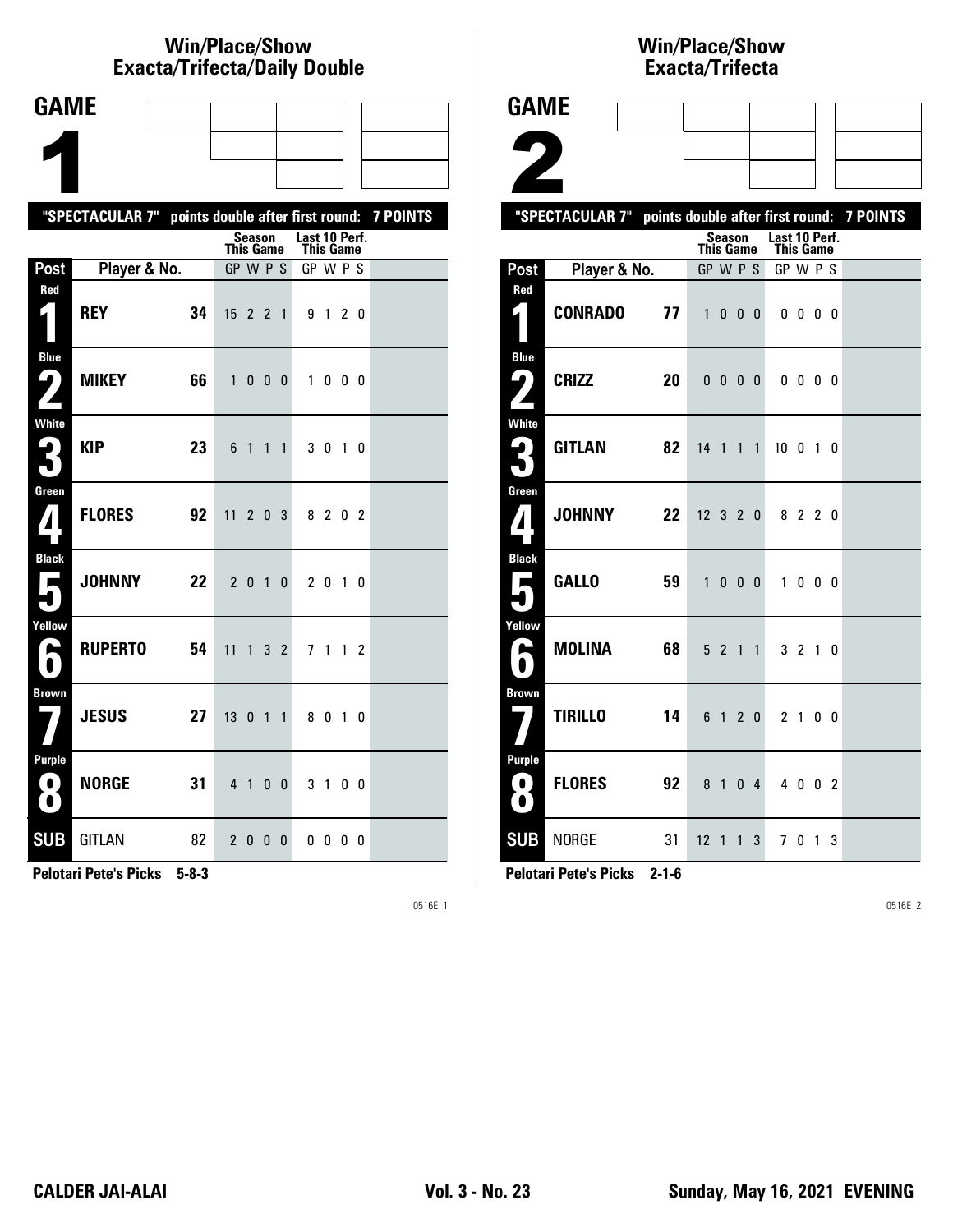### **Win/Place/Show Exacta/Tri fecta/Daily Dou ble**

| <b>GAME</b>                              |                                                           |    |              |                |                |                |                            |                   |   |  |
|------------------------------------------|-----------------------------------------------------------|----|--------------|----------------|----------------|----------------|----------------------------|-------------------|---|--|
|                                          |                                                           |    |              |                |                |                |                            |                   |   |  |
|                                          |                                                           |    |              |                |                |                |                            |                   |   |  |
|                                          | "SPECTACULAR 7" points double after first round: 7 POINTS |    |              |                |                |                |                            |                   |   |  |
|                                          |                                                           |    | This Game    | <b>Season</b>  |                |                | Last 10 Perf.<br>This Game |                   |   |  |
| Post                                     | Player & No.                                              |    | GP W P S     |                |                |                | GP W P S                   |                   |   |  |
| Red<br>$\hat{\bm{\zeta}}$                | <b>REY</b>                                                | 34 | $15$ 2 2 1   |                |                |                |                            | 9 1 2 0           |   |  |
| <b>Blue</b><br>ر ما<br>$\mathbf{z}$      | <b>MIKEY</b>                                              | 66 | $\mathbf{1}$ | $\mathbf{0}$   |                | $0\quad 0$     | $\mathbf{1}$               | $0\,$ $0\,$ $0\,$ |   |  |
| White                                    | <b>KIP</b>                                                | 23 | 6            | $\mathbf{1}$   | 1              | $\mathbf{1}$   |                            | 3 0 1 0           |   |  |
| Green                                    | <b>FLORES</b>                                             | 92 | 11 2 0 3     |                |                |                | 8                          | 2 0 2             |   |  |
| <b>Black</b><br>$\overline{\phantom{a}}$ | <b>JOHNNY</b>                                             | 22 |              | 2 <sub>0</sub> |                | $1\quad0$      |                            | 2 0 1 0           |   |  |
| Yellow<br>A                              | <b>RUPERTO</b>                                            | 54 | 11           | $\mathbf{1}$   |                | 3 <sub>2</sub> |                            | 7 1 1             | 2 |  |
| <b>Brown</b>                             | <b>JESUS</b>                                              | 27 | 13           | 0              | 1              | $\mathbf{1}$   |                            | 8010              |   |  |
| <b>Purple</b><br>0)<br>$\bullet$         | <b>NORGE</b>                                              | 31 |              | $4 \quad 1$    | 0 <sub>0</sub> |                |                            | 3 1 0 0           |   |  |
| <b>SUB</b>                               | <b>GITLAN</b>                                             | 82 |              | 2 0 0 0        |                |                |                            | $0\,0\,0\,0$      |   |  |

**Pelotari Pete's Picks 5-8-3**

0516E 1

# **Win/Place/Show Exacta/Tri fecta**

| <b>GAME</b>                                  |                                                           |        |                  |                        |                                   |                          |                   |  |  |
|----------------------------------------------|-----------------------------------------------------------|--------|------------------|------------------------|-----------------------------------|--------------------------|-------------------|--|--|
|                                              |                                                           |        |                  |                        |                                   |                          |                   |  |  |
| $\blacktriangle$                             |                                                           |        |                  |                        |                                   |                          |                   |  |  |
|                                              | "SPECTACULAR 7" points double after first round: 7 POINTS |        |                  |                        |                                   |                          |                   |  |  |
|                                              |                                                           |        | <b>This Game</b> |                        | Season Last 10 Perf.<br>This Game |                          |                   |  |  |
| Post                                         | Player & No.                                              |        | GP W P S         |                        | GP W P S                          |                          |                   |  |  |
| Red<br>1                                     | CONRADO                                                   | 77     | 1                | $0\quad 0\quad 0\quad$ |                                   | $0\,0\,0\,0$             |                   |  |  |
| <b>Blue</b><br>$\mathbf{\mathcal{G}}_{l}$    | <b>CRIZZ</b><br>20                                        |        |                  |                        |                                   | $0\quad 0\quad 0\quad 0$ |                   |  |  |
| <b>White</b>                                 | <b>GITLAN</b>                                             | 82     | 14 1 1 1         |                        | 10 0 1 0                          |                          |                   |  |  |
| Green<br>$\boldsymbol{I}$                    | <b>JOHNNY</b>                                             | $22\,$ | $12$ 3 2 0       |                        |                                   | 8 2 2 0                  |                   |  |  |
| <b>Black</b><br>$\mathbf{r}$                 | <b>GALLO</b>                                              | 59     | 1                | $0\quad 0\quad 0\quad$ | $\mathbf{1}$                      |                          | $0\quad 0\quad 0$ |  |  |
| Yellow<br>$\blacktriangleright$<br>$\bullet$ | <b>MOLINA</b>                                             | 68     |                  | 5 2 1 1                |                                   | 3210                     |                   |  |  |
| <b>Brown</b>                                 | <b>TIRILLO</b>                                            | 14     |                  | 6 1 2 0                |                                   | 2 1 0 0                  |                   |  |  |
| <b>Purple</b><br>$\blacksquare$<br>0         | <b>FLORES</b>                                             | 92     |                  | 8 1 0 4                |                                   | 4 0 0 2                  |                   |  |  |
| <b>SUB</b>                                   | <b>NORGE</b>                                              | 31     | $12 \t1 \t1 \t3$ |                        |                                   | 7 0 1 3                  |                   |  |  |

**Pelotari Pete's Picks 2-1-6**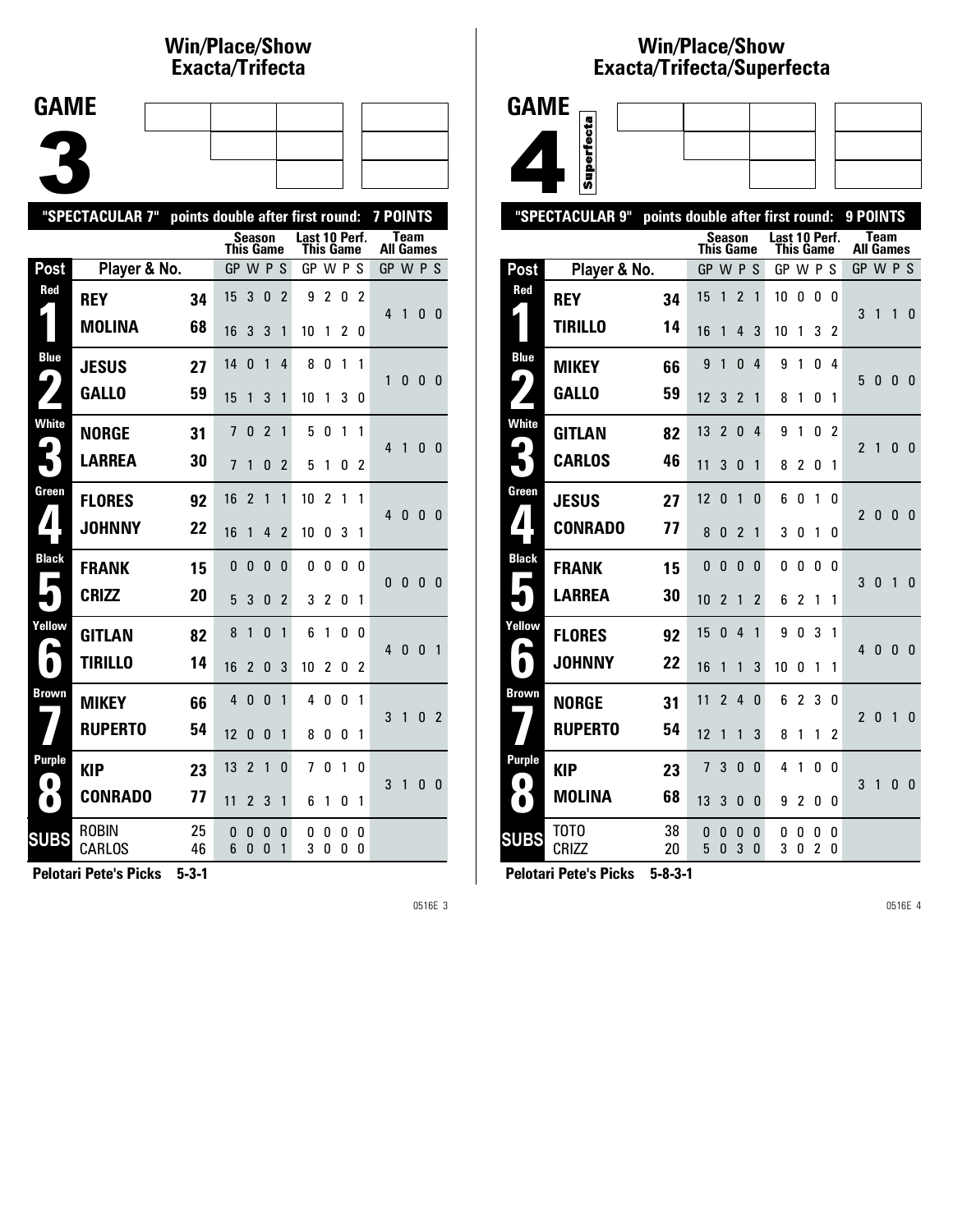#### **Win/Place/Show Exacta/Tri fecta**

| <b>GAME</b> |  |  |  |
|-------------|--|--|--|
| Æ           |  |  |  |
|             |  |  |  |
|             |  |  |  |
|             |  |  |  |

|                                | "SPECTACULAR 7"<br>7 POINTS<br>points double after first round: |          |                  |                |                |                |                                   |                |                   |                |                  |              |          |                |
|--------------------------------|-----------------------------------------------------------------|----------|------------------|----------------|----------------|----------------|-----------------------------------|----------------|-------------------|----------------|------------------|--------------|----------|----------------|
|                                |                                                                 |          | <b>This Game</b> | Season         |                |                | Last 10 Perf.<br><b>This Game</b> |                |                   |                | <b>All Games</b> | <b>Team</b>  |          |                |
| Post                           | Player & No.                                                    |          | GP W P S         |                |                |                | GP W P S                          |                |                   |                | GP W P S         |              |          |                |
| Red                            | <b>REY</b>                                                      | 34       | 15               | 3              | 0              | $\overline{2}$ | 9                                 | $\overline{c}$ | 0                 | $\overline{2}$ | 4                | 1            | 0        | - 0            |
|                                | <b>MOLINA</b>                                                   | 68       | 16               | 3              | 3              | 1              | 10                                | 1              | 2                 | 0              |                  |              |          |                |
| <b>Blue</b><br>$\blacklozenge$ | <b>JESUS</b>                                                    | 27       | 14               | 0              | $\mathbf{1}$   | 4              | 8                                 | 0              | 1                 | 1              | 1                | 0            | 0        | 0              |
|                                | <b>GALLO</b>                                                    | 59       | 15               | 1              | 3              | 1              | 10                                | 1              | 3                 | 0              |                  |              |          |                |
| <b>White</b>                   | <b>NORGE</b>                                                    | 31       | $\overline{1}$   | 0              | $\overline{c}$ | 1              | 5                                 | 0              | 1                 | 1              | 4                | 1            | 0        | - 0            |
|                                | <b>LARREA</b>                                                   | 30       | $\overline{7}$   | 1              | 0              | 2              | 5                                 | 1              | 0                 | 2              |                  |              |          |                |
| Green                          | <b>FLORES</b>                                                   | 92       | 16               | $\overline{2}$ | 1              | 1              | 10                                | $\overline{2}$ | 1                 | 1              | 4                | 0            | 0        | - 0            |
| $\blacktriangle$               | <b>JOHNNY</b>                                                   | 22       | 16               | 1              | 4              | $\overline{2}$ | 10                                | 0              | 3                 | 1              |                  |              |          |                |
| <b>Black</b>                   | <b>FRANK</b>                                                    | 15       | 0                | 0              | 0              | 0              | 0                                 | $\mathbf{0}$   | 0                 | n              | $\mathbf{0}$     | 0            | 0        | 0              |
|                                | <b>CRIZZ</b>                                                    | 20       | 5                | 3              | $\mathbf{0}$   | $\overline{2}$ | 3                                 | $\overline{c}$ | 0                 | 1              |                  |              |          |                |
| Yellow<br>e                    | <b>GITLAN</b>                                                   | 82       | 8                | 1              | $\mathbf{0}$   | 1              | 6                                 | 1              | 0                 | 0              | $\overline{4}$   | $\mathbf{0}$ | $\Omega$ | $\overline{1}$ |
| N                              | <b>TIRILLO</b>                                                  | 14       | 16               | $\overline{2}$ | 0              | 3              | 10                                | 2              | 0                 | 2              |                  |              |          |                |
| <b>Brown</b>                   | <b>MIKEY</b>                                                    | 66       | 4                | 0              | $\mathbf{0}$   | 1              | 4                                 | 0              | 0                 | 1              | 3                | $\mathbf{1}$ | 0        | $\overline{2}$ |
|                                | <b>RUPERTO</b>                                                  | 54       | 12               | $\Omega$       | $\mathbf{0}$   | 1              | 8                                 | 0              | 0                 | 1              |                  |              |          |                |
| Purple<br>$\bullet$            | <b>KIP</b>                                                      | 23       | 13               | $\overline{2}$ | $\mathbf{1}$   | 0              | 7                                 | 0              | 1                 | 0              | 3                | 1            | 0        | 0              |
| $\bullet$                      | <b>CONRADO</b>                                                  | 77       | 11               | $\overline{2}$ | 3              | 1              | 6                                 | 1              | 0                 | 1              |                  |              |          |                |
| <b>SUBS</b>                    | ROBIN<br>CARLOS                                                 | 25<br>46 | 0<br>6           | 0<br>0         | 0<br>0         | 0<br>1         | 0<br>3                            | 0<br>0         | 0<br>$\mathbf{0}$ | 0<br>0         |                  |              |          |                |

**Pelotari Pete's Picks 5-3-1**

0516E 3

## **Win/Place/Show Exacta/Tri fecta/Super fecta**



|                                     | "SPECTACULAR 9"      | points double after first round: |                  |                |                |                   |               |                |        |                | 9 POINTS                        |              |              |                |
|-------------------------------------|----------------------|----------------------------------|------------------|----------------|----------------|-------------------|---------------|----------------|--------|----------------|---------------------------------|--------------|--------------|----------------|
|                                     |                      |                                  | <b>This Game</b> | <b>Season</b>  |                |                   | Last 10 Perf. | This Game      |        |                | <b>Team</b><br><b>All Games</b> |              |              |                |
| Post                                | Player & No.         |                                  | GP               | <b>W</b>       | P              | -S                | GP            | W P            |        | S              | GP W P S                        |              |              |                |
| Red                                 | <b>REY</b>           | 34                               | 15               | 1              | $\overline{2}$ | 1                 | 10            | 0              | 0      | 0              |                                 |              |              |                |
|                                     | <b>TIRILLO</b>       | 14                               | 16               | 1              | 4              | 3                 | 10            | 1              | 3      | 2              | 3                               | 1            | 1            | 0              |
| <b>Blue</b><br>$\blacktriangleleft$ | <b>MIKEY</b>         | 66                               | 9                | 1              | 0              | 4                 | 9             | 1              | 0      | 4              |                                 |              |              |                |
|                                     | <b>GALLO</b>         | 59                               | 12               | 3              | $\overline{2}$ | 1                 | 8             | 1              | 0      | 1              | 5                               | 0            | 0            | - 0            |
| <b>White</b>                        | <b>GITLAN</b>        | 82                               | 13               | $\overline{2}$ | $\Omega$       | 4                 | 9             | 1              | 0      | $\mathfrak{p}$ | $\overline{2}$                  | 1            | 0            | $\overline{0}$ |
|                                     | <b>CARLOS</b>        | 46                               | 11               | 3              | 0              | 1                 | 8             | 2              | 0      | 1              |                                 |              |              |                |
| Green                               | <b>JESUS</b>         | 27                               | 12               | $\mathbf{0}$   | 1              | $\mathbf{0}$      | 6             | 0              | 1      | 0              | 2                               | 0            | 0            | - 0            |
| $\blacksquare$                      | <b>CONRADO</b>       | 77                               | 8                | 0              | $\overline{2}$ | 1                 | 3             | 0              | 1      | 0              |                                 |              |              |                |
| <b>Black</b><br>Е                   | <b>FRANK</b>         | 15                               | $\mathbf{0}$     | $\mathbf{0}$   | $\Omega$       | $\mathbf{0}$      | 0             | 0              | 0      | 0              | 3                               | $\mathbf{0}$ | $\mathbf{1}$ | $\mathbf{0}$   |
|                                     | <b>LARREA</b>        | 30                               | 10               | $\overline{2}$ | 1              | $\overline{2}$    | 6             | 2              | 1      | 1              |                                 |              |              |                |
| Yellow                              | <b>FLORES</b>        | 92                               | 15               | 0              | 4              | 1                 | 9             | 0              | 3      | 1              | 4                               | $\mathbf{0}$ | 0            | $\mathbf{0}$   |
| ь                                   | <b>JOHNNY</b>        | 22                               | 16               | 1              | 1              | 3                 | 10            | 0              | 1      | 1              |                                 |              |              |                |
| Brown                               | <b>NORGE</b>         | 31                               | 11               | $\overline{2}$ | 4              | $\mathbf{0}$      | 6             | 2              | 3      | 0              | $\overline{2}$                  | 0            | 1            | $\mathbf{0}$   |
|                                     | <b>RUPERTO</b>       | 54                               | 12               | 1              | 1              | 3                 | 8             | 1              | 1      | 2              |                                 |              |              |                |
| Purple<br>$\bullet$                 | <b>KIP</b>           | 23                               | 7                | 3              | $\mathbf{0}$   | $\mathbf 0$       | 4             | 1              | 0      | 0              | 3                               | 1            | 0            |                |
| $\bullet$                           | <b>MOLINA</b>        | 68                               | 13               | 3              | $\mathbf{0}$   | $\mathbf{0}$      | 9             | $\overline{c}$ | 0      | 0              |                                 |              |              | $\mathbf{0}$   |
| <b>SUBS</b>                         | тото<br><b>CRIZZ</b> | 38<br>20                         | 0<br>5           | 0<br>0         | 0<br>3         | 0<br>$\mathbf{0}$ | 0<br>3        | 0<br>0         | 0<br>2 | 0<br>0         |                                 |              |              |                |
|                                     |                      |                                  |                  |                |                |                   |               |                |        |                |                                 |              |              |                |

**Pelotari Pete's Picks 5-8-3-1**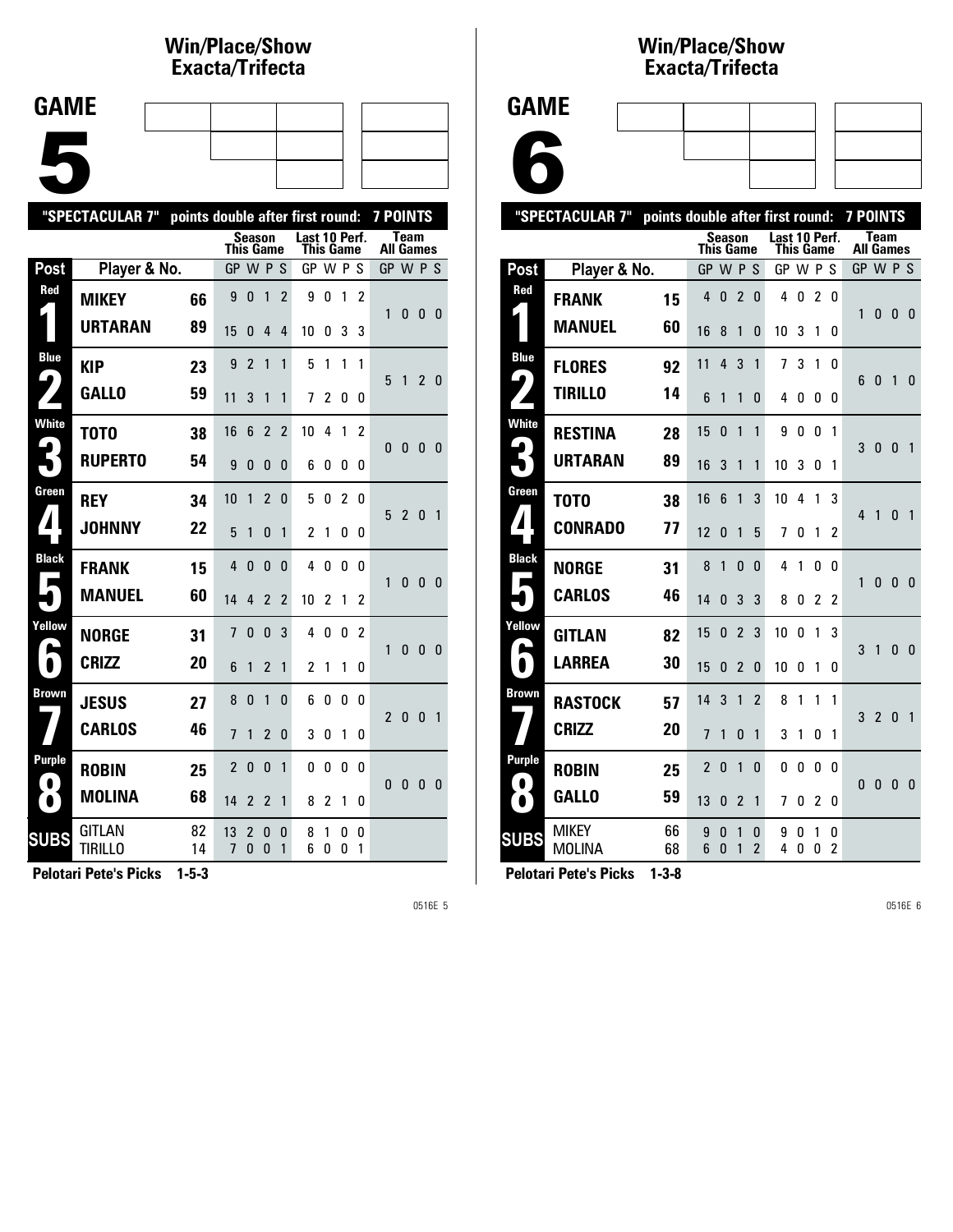#### **Win/Place/Show Exacta/Tri fecta**

| <b>GAME</b> |  |  |  |
|-------------|--|--|--|
|             |  |  |  |
|             |  |  |  |
|             |  |  |  |
|             |  |  |  |
|             |  |  |  |
|             |  |  |  |
|             |  |  |  |

|                            | "SPECTACULAR 7"<br>points double after first round:<br><b>7 POINTS</b> |          |                  |              |                          |                |                            |                |        |                |                                 |                |              |                |
|----------------------------|------------------------------------------------------------------------|----------|------------------|--------------|--------------------------|----------------|----------------------------|----------------|--------|----------------|---------------------------------|----------------|--------------|----------------|
|                            |                                                                        |          | <b>This Game</b> |              | <b>Season</b>            |                | Last 10 Perf.<br>This Game |                |        |                | <b>Team</b><br><b>All Games</b> |                |              |                |
| Post                       | Player & No.                                                           |          | GP W P S         |              |                          |                | GP W P S                   |                |        |                | GP W P S                        |                |              |                |
| Red                        | <b>MIKEY</b>                                                           | 66       | 9                | 0            | 1                        | $\overline{2}$ | 9                          | 0              | 1      | $\overline{2}$ | 1                               | 0              | 0            | - 0            |
|                            | <b>URTARAN</b>                                                         | 89       | 15               | 0            | 4                        | 4              | 10                         | 0              | 3      | 3              |                                 |                |              |                |
| <b>Blue</b><br>9           | <b>KIP</b>                                                             | 23       | 9                | 2            | 1                        | 1              | 5                          | 1              | 1      | 1              | 5                               | 1              | $2^{\circ}$  | 0              |
|                            | <b>GALLO</b>                                                           | 59       | 11               | 3            | 1                        | 1              | 7                          | 2              | 0      | 0              |                                 |                |              |                |
| <b>White</b>               | T0T0                                                                   | 38       | 16               | 6            | $\overline{2}$           | $\overline{2}$ | 10                         | 4              | 1      | 2              | 0                               | $\mathbf{0}$   | $\mathbf{0}$ | - 0            |
|                            | <b>RUPERTO</b>                                                         | 54       | 9                | $\Omega$     | $\Omega$                 | 0              | 6                          | 0              | 0      | 0              |                                 |                |              |                |
| Green                      | <b>REY</b>                                                             | 34       | 10               | 1            | $\overline{\phantom{a}}$ | $\Omega$       | 5                          | 0              | 2      | 0              | 5                               | $\overline{2}$ | $\Omega$     | $\overline{1}$ |
| $\blacktriangle$           | <b>JOHNNY</b>                                                          | 22       | 5                | 1            | 0                        | 1              | 2                          | 1              | 0      | 0              |                                 |                |              |                |
| <b>Black</b><br>Е          | <b>FRANK</b>                                                           | 15       | 4                | 0            | 0                        | 0              | 4                          | 0              | 0      | 0              | 1                               | 0              | $\mathbf{0}$ | $\mathbf{0}$   |
|                            | <b>MANUEL</b>                                                          | 60       | 14               | 4            | $\overline{2}$           | $\overline{2}$ | 10                         | $\overline{c}$ | 1      | 2              |                                 |                |              |                |
| Yellow<br>Ø,               | <b>NORGE</b>                                                           | 31       | 7                | $\Omega$     | 0                        | 3              | 4                          | 0              | 0      | 2              | 1                               | 0              | $\mathbf{0}$ | 0              |
| $\bullet$                  | <b>CRIZZ</b>                                                           | 20       | 6                | 1            | $\overline{2}$           | 1              | 2                          | 1              | 1      | 0              |                                 |                |              |                |
| <b>Brown</b>               | <b>JESUS</b>                                                           | 27       | 8                | 0            | 1                        | 0              | 6                          | 0              | 0      | 0              | $\overline{2}$                  | $\mathbf{0}$   | $\mathbf{0}$ | $\overline{1}$ |
|                            | <b>CARLOS</b>                                                          | 46       | $\overline{1}$   | 1            | $\overline{2}$           | 0              | 3                          | 0              | 1      | 0              |                                 |                |              |                |
| <b>Purple</b><br>$\bullet$ | <b>ROBIN</b>                                                           | 25       | 2                | $\mathbf{0}$ | $\mathbf{0}$             | 1              | 0                          | 0              | 0      | 0              | 0                               | 0              | $\bf{0}$     | $\mathbf 0$    |
| $\bullet$                  | <b>MOLINA</b>                                                          | 68       | 14               | 2            | $\overline{2}$           | 1              | 8                          | 2              | 1      | 0              |                                 |                |              |                |
| <b>SUBS</b>                | GITLAN<br><b>TIRILLO</b>                                               | 82<br>14 | 13<br>7          | 2<br>0       | 0<br>0                   | 0<br>1         | 8<br>6                     | 1<br>0         | 0<br>0 | 0<br>1         |                                 |                |              |                |
|                            |                                                                        |          |                  |              |                          |                |                            |                |        |                |                                 |                |              |                |

**Pelotari Pete's Picks 1-5-3**

0516E 5

#### **Win/Place/Show Exacta/Tri fecta**

| GAME |  |
|------|--|
|      |  |

| 1AME |  |
|------|--|
|      |  |
|      |  |
|      |  |

| "SPECTACULAR 7"<br>points double after first round: |                        |          |                  |               |                |                     |                                   |        |                |                | <b>7 POINTS</b>          |                |          |                |
|-----------------------------------------------------|------------------------|----------|------------------|---------------|----------------|---------------------|-----------------------------------|--------|----------------|----------------|--------------------------|----------------|----------|----------------|
|                                                     |                        |          | <b>This Game</b> | Season        |                |                     | Last 10 Perf.<br><b>This Game</b> |        |                |                | Team<br><b>All Games</b> |                |          |                |
| Post                                                | Player & No.           |          | GP               | <b>WPS</b>    |                |                     | GP W P S                          |        |                |                |                          | GP W P S       |          |                |
| Red                                                 | <b>FRANK</b>           | 15       | 4                | 0             | $\overline{2}$ | 0                   | 4                                 | 0      | $\mathfrak{p}$ | 0              | 1                        | $\mathbf{0}$   | 0        | $\mathbf{0}$   |
|                                                     | <b>MANUEL</b>          | 60       | 16               | 8             | 1              | 0                   | 10                                | 3      | 1              | 0              |                          |                |          |                |
| <b>Blue</b><br>LO                                   | <b>FLORES</b>          | 92       | 11               | 4             | 3              | 1                   | 7                                 | 3      | 1              | 0              | 6                        | $\Omega$       |          |                |
|                                                     | <b>TIRILLO</b>         | 14       | 6                | 1             | 1              | 0                   | 4                                 | 0      | 0              | 0              |                          |                | 1        | 0              |
| <b>White</b>                                        | <b>RESTINA</b>         | 28       | 15               | 0             | 1              | 1                   | 9                                 | 0      | 0              | 1              | 3                        | $\mathbf{0}$   | $\Omega$ | 1              |
|                                                     | URTARAN                | 89       | 16               | 3             | 1              | 1                   | 10                                | 3      | 0              | 1              |                          |                |          |                |
| Green                                               | T0T0                   | 38       | 16               | 6             | 1              | 3                   | 10                                | 4      | 1              | 3              | 4                        | 1              | ŋ        | $\mathbf{1}$   |
| $\mathbf 1$                                         | <b>CONRADO</b>         | 77       | 12               | 0             | 1              | 5                   | 7                                 | 0      | 1              | 2              |                          |                |          |                |
| <b>Black</b><br>ш                                   | <b>NORGE</b>           | 31       | 8                | 1             | $\Omega$       | 0                   | 4                                 | 1      | U              | U              | 1                        | 0              | $\Omega$ | $\mathbf{0}$   |
|                                                     | <b>CARLOS</b>          | 46       | 14               | 0             | 3              | 3                   | 8                                 | 0      | 2              | $\overline{c}$ |                          |                |          |                |
| Yellow<br>п                                         | <b>GITLAN</b>          | 82       | 15               | 0             | $\overline{2}$ | 3                   | 10                                | 0      | 1              | 3              | 3                        | $\mathbf{1}$   | $\Omega$ | $\overline{0}$ |
|                                                     | <b>LARREA</b>          | 30       | 15               | 0             | 2              | 0                   | 10                                | 0      | 1              | 0              |                          |                |          |                |
| <b>Brown</b>                                        | <b>RASTOCK</b>         | 57       | 14               | 3             | 1              | $\overline{2}$      | 8                                 | 1      | 1              | 1              | 3                        | $\overline{2}$ | $\Omega$ | $\mathbf{1}$   |
|                                                     | <b>CRIZZ</b>           | 20       | 7                | 1             | 0              | 1                   | 3                                 | 1      | 0              | 1              |                          |                |          |                |
| Purple<br>$\bullet$                                 | <b>ROBIN</b>           | 25       | $\overline{2}$   | 0             | 1              | 0                   | 0                                 | 0      | 0              | 0              | 0                        | $\mathbf{0}$   | $\Omega$ | - 0            |
| $\bullet$                                           | <b>GALLO</b>           | 59       | 13               | 0             | $\overline{2}$ | 1                   | 7                                 | 0      | 2              | 0              |                          |                |          |                |
| <b>SUBS</b>                                         | MIKEY<br><b>MOLINA</b> | 66<br>68 | 9<br>6           | 0<br>$\Omega$ | 1<br>1         | 0<br>$\overline{2}$ | 9<br>4                            | O<br>0 | 1<br>0         | 0<br>2         |                          |                |          |                |
|                                                     | . .                    | . .      |                  |               |                |                     |                                   |        |                |                |                          |                |          |                |

**Pelotari Pete's Picks 1-3-8**